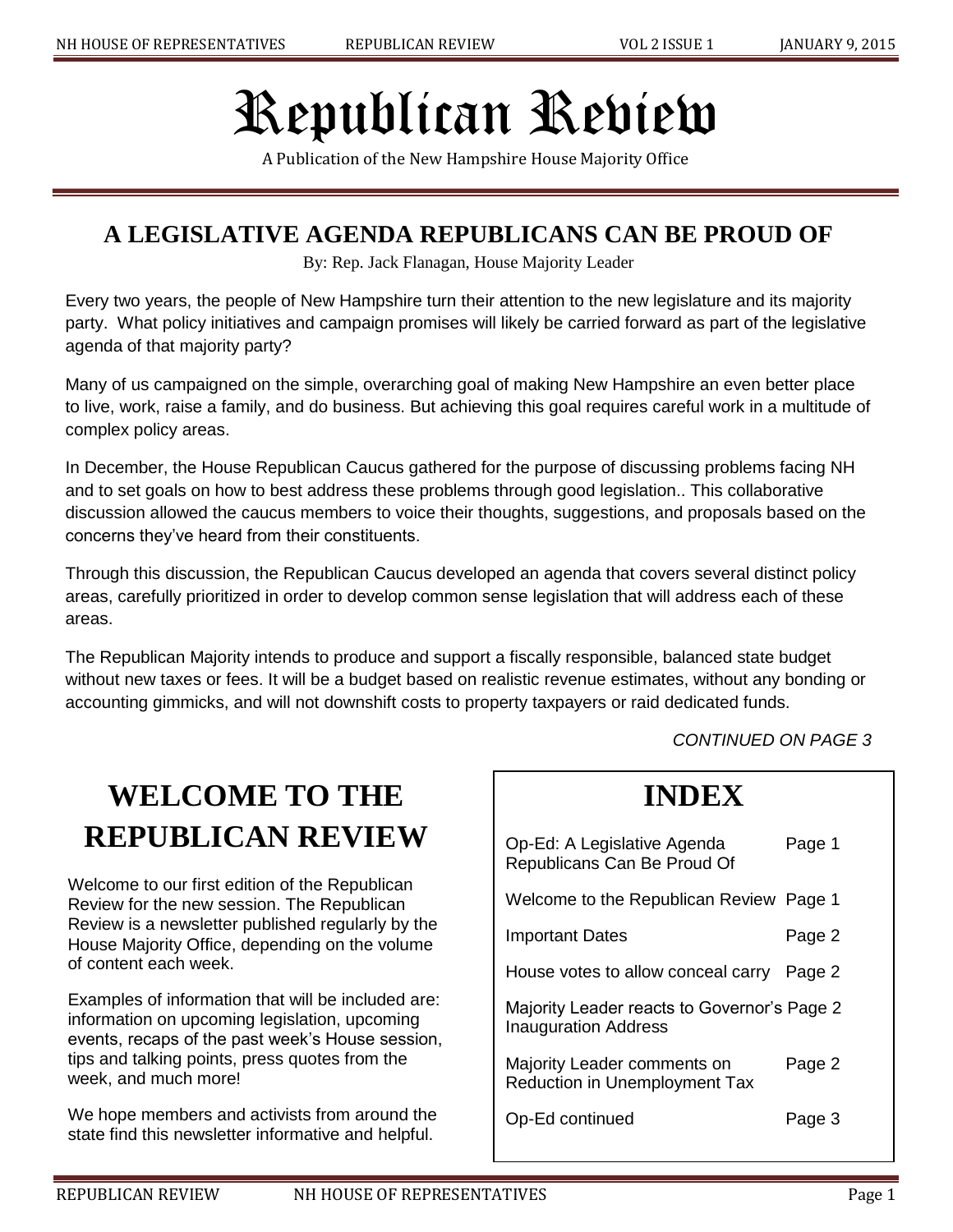# Republican Review

A Publication of the New Hampshire House Majority Office

#### **A LEGISLATIVE AGENDA REPUBLICANS CAN BE PROUD OF**

By: Rep. Jack Flanagan, House Majority Leader

Every two years, the people of New Hampshire turn their attention to the new legislature and its majority party. What policy initiatives and campaign promises will likely be carried forward as part of the legislative agenda of that majority party?

Many of us campaigned on the simple, overarching goal of making New Hampshire an even better place to live, work, raise a family, and do business. But achieving this goal requires careful work in a multitude of complex policy areas.

In December, the House Republican Caucus gathered for the purpose of discussing problems facing NH and to set goals on how to best address these problems through good legislation.. This collaborative discussion allowed the caucus members to voice their thoughts, suggestions, and proposals based on the concerns they've heard from their constituents.

Through this discussion, the Republican Caucus developed an agenda that covers several distinct policy areas, carefully prioritized in order to develop common sense legislation that will address each of these areas.

The Republican Majority intends to produce and support a fiscally responsible, balanced state budget without new taxes or fees. It will be a budget based on realistic revenue estimates, without any bonding or accounting gimmicks, and will not downshift costs to property taxpayers or raid dedicated funds.

*CONTINUED ON PAGE 3*

## **WELCOME TO THE REPUBLICAN REVIEW**

Welcome to our first edition of the Republican Review for the new session. The Republican Review is a newsletter published regularly by the House Majority Office, depending on the volume of content each week.

Examples of information that will be included are: information on upcoming legislation, upcoming events, recaps of the past week's House session, tips and talking points, press quotes from the week, and much more!

We hope members and activists from around the state find this newsletter informative and helpful.

#### **INDEX**

| Op-Ed: A Legislative Agenda<br>Republicans Can Be Proud Of                 | Page 1 |
|----------------------------------------------------------------------------|--------|
| Welcome to the Republican Review Page 1                                    |        |
| Important Dates                                                            | Page 2 |
| House votes to allow conceal carry Page 2                                  |        |
| Majority Leader reacts to Governor's Page 2<br><b>Inauguration Address</b> |        |
| Majority Leader comments on<br><b>Reduction in Unemployment Tax</b>        | Page 2 |
| Op-Ed continued                                                            | Page 3 |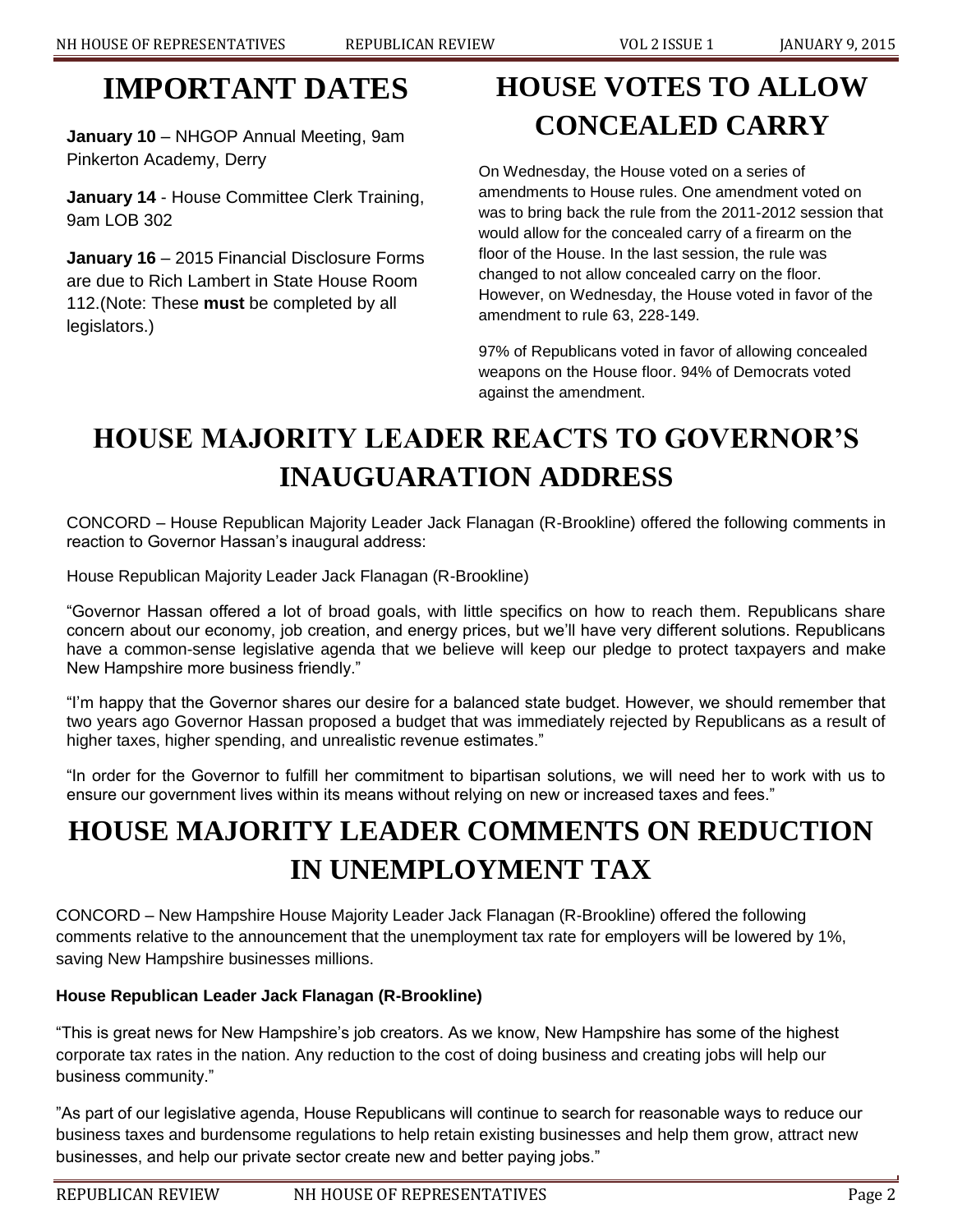#### **IMPORTANT DATES**

**January 10** – NHGOP Annual Meeting, 9am Pinkerton Academy, Derry

**January 14** - House Committee Clerk Training, 9am LOB 302

**January 16** – 2015 Financial Disclosure Forms are due to Rich Lambert in State House Room 112.(Note: These **must** be completed by all legislators.)

# **HOUSE VOTES TO ALLOW CONCEALED CARRY**

On Wednesday, the House voted on a series of amendments to House rules. One amendment voted on was to bring back the rule from the 2011-2012 session that would allow for the concealed carry of a firearm on the floor of the House. In the last session, the rule was changed to not allow concealed carry on the floor. However, on Wednesday, the House voted in favor of the amendment to rule 63, 228-149.

97% of Republicans voted in favor of allowing concealed weapons on the House floor. 94% of Democrats voted against the amendment.

### **HOUSE MAJORITY LEADER REACTS TO GOVERNOR'S INAUGUARATION ADDRESS**

CONCORD – House Republican Majority Leader Jack Flanagan (R-Brookline) offered the following comments in reaction to Governor Hassan's inaugural address:

House Republican Majority Leader Jack Flanagan (R-Brookline)

"Governor Hassan offered a lot of broad goals, with little specifics on how to reach them. Republicans share concern about our economy, job creation, and energy prices, but we'll have very different solutions. Republicans have a common-sense legislative agenda that we believe will keep our pledge to protect taxpayers and make New Hampshire more business friendly."

"I'm happy that the Governor shares our desire for a balanced state budget. However, we should remember that two years ago Governor Hassan proposed a budget that was immediately rejected by Republicans as a result of higher taxes, higher spending, and unrealistic revenue estimates."

"In order for the Governor to fulfill her commitment to bipartisan solutions, we will need her to work with us to ensure our government lives within its means without relying on new or increased taxes and fees."

#### **HOUSE MAJORITY LEADER COMMENTS ON REDUCTION IN UNEMPLOYMENT TAX**

CONCORD – New Hampshire House Majority Leader Jack Flanagan (R-Brookline) offered the following comments relative to the announcement that the unemployment tax rate for employers will be lowered by 1%, saving New Hampshire businesses millions.

#### **House Republican Leader Jack Flanagan (R-Brookline)**

"This is great news for New Hampshire's job creators. As we know, New Hampshire has some of the highest corporate tax rates in the nation. Any reduction to the cost of doing business and creating jobs will help our business community."

"As part of our legislative agenda, House Republicans will continue to search for reasonable ways to reduce our business taxes and burdensome regulations to help retain existing businesses and help them grow, attract new businesses, and help our private sector create new and better paying jobs."